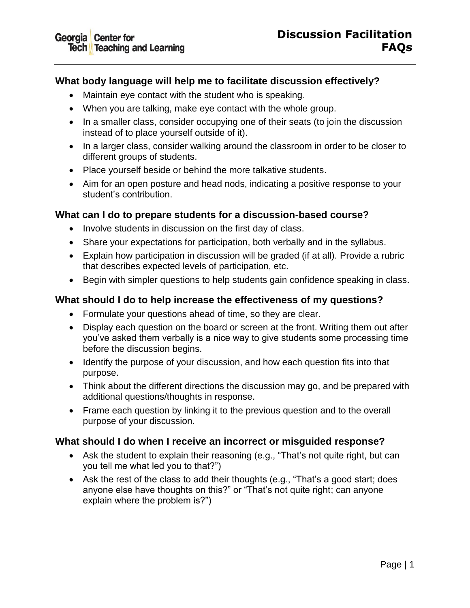# **What body language will help me to facilitate discussion effectively?**

- Maintain eye contact with the student who is speaking.
- When you are talking, make eye contact with the whole group.
- In a smaller class, consider occupying one of their seats (to join the discussion instead of to place yourself outside of it).
- In a larger class, consider walking around the classroom in order to be closer to different groups of students.
- Place yourself beside or behind the more talkative students.
- Aim for an open posture and head nods, indicating a positive response to your student's contribution.

### **What can I do to prepare students for a discussion-based course?**

- Involve students in discussion on the first day of class.
- Share your expectations for participation, both verbally and in the syllabus.
- Explain how participation in discussion will be graded (if at all). Provide a rubric that describes expected levels of participation, etc.
- Begin with simpler questions to help students gain confidence speaking in class.

# **What should I do to help increase the effectiveness of my questions?**

- Formulate your questions ahead of time, so they are clear.
- Display each question on the board or screen at the front. Writing them out after you've asked them verbally is a nice way to give students some processing time before the discussion begins.
- Identify the purpose of your discussion, and how each question fits into that purpose.
- Think about the different directions the discussion may go, and be prepared with additional questions/thoughts in response.
- Frame each question by linking it to the previous question and to the overall purpose of your discussion.

### **What should I do when I receive an incorrect or misguided response?**

- Ask the student to explain their reasoning (e.g., "That's not quite right, but can you tell me what led you to that?")
- Ask the rest of the class to add their thoughts (e.g., "That's a good start; does anyone else have thoughts on this?" or "That's not quite right; can anyone explain where the problem is?")